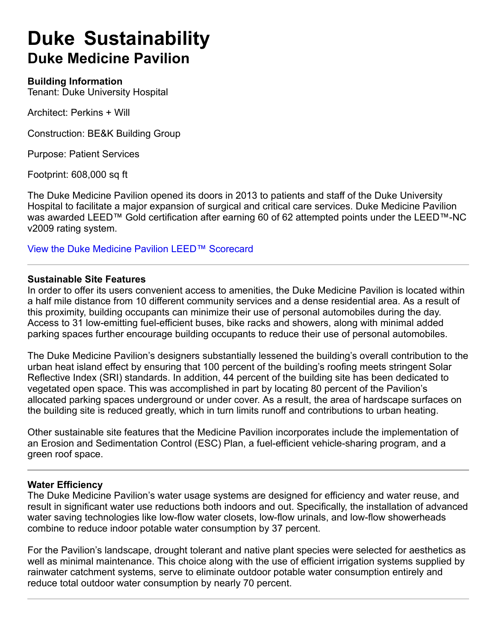# **Duke Sustainability Duke Medicine Pavilion**

#### **Building Information**

Tenant: Duke University Hospital

Architect: Perkins + Will

Construction: BE&K Building Group

Purpose: Patient Services

Footprint: 608,000 sq ft

The Duke Medicine Pavilion opened its doors in 2013 to patients and staff of the Duke University Hospital to facilitate a major expansion of surgical and critical care services. Duke Medicine Pavilion was awarded LEED™ Gold certification after earning 60 of 62 attempted points under the LEED™-NC v2009 rating system.

View the Duke Medicine Pavilion LEED™ Scorecard

#### **Sustainable Site Features**

In order to offer its users convenient access to amenities, the Duke Medicine Pavilion is located within a half mile distance from 10 different community services and a dense residential area. As a result of this proximity, building occupants can minimize their use of personal automobiles during the day. Access to 31 low-emitting fuel-efficient buses, bike racks and showers, along with minimal added parking spaces further encourage building occupants to reduce their use of personal automobiles.

The Duke Medicine Pavilion's designers substantially lessened the building's overall contribution to the urban heat island effect by ensuring that 100 percent of the building's roofing meets stringent Solar Reflective Index (SRI) standards. In addition, 44 percent of the building site has been dedicated to vegetated open space. This was accomplished in part by locating 80 percent of the Pavilion's allocated parking spaces underground or under cover. As a result, the area of hardscape surfaces on the building site is reduced greatly, which in turn limits runoff and contributions to urban heating.

Other sustainable site features that the Medicine Pavilion incorporates include the implementation of an Erosion and Sedimentation Control (ESC) Plan, a fuel-efficient vehicle-sharing program, and a green roof space.

#### **Water Efficiency**

The Duke Medicine Pavilion's water usage systems are designed for efficiency and water reuse, and result in significant water use reductions both indoors and out. Specifically, the installation of advanced water saving technologies like low-flow water closets, low-flow urinals, and low-flow showerheads combine to reduce indoor potable water consumption by 37 percent.

For the Pavilion's landscape, drought tolerant and native plant species were selected for aesthetics as well as minimal maintenance. This choice along with the use of efficient irrigation systems supplied by rainwater catchment systems, serve to eliminate outdoor potable water consumption entirely and reduce total outdoor water consumption by nearly 70 percent.